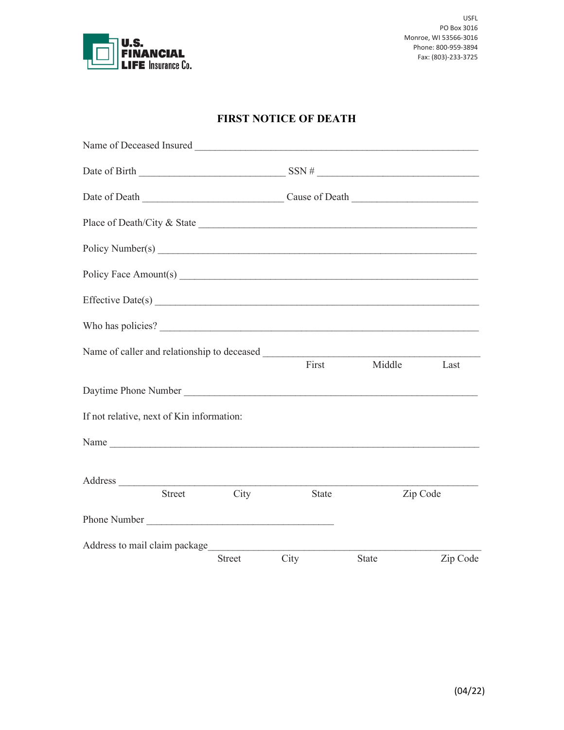

## **FIRST NOTICE OF DEATH**

|                                           |               |               | Date of Birth $\frac{1}{\sqrt{1-\frac{1}{2}}\sqrt{1-\frac{1}{2}}\sqrt{1-\frac{1}{2}}\sqrt{1-\frac{1}{2}}\sqrt{1-\frac{1}{2}}\sqrt{1-\frac{1}{2}}\sqrt{1-\frac{1}{2}}\sqrt{1-\frac{1}{2}}\sqrt{1-\frac{1}{2}}\sqrt{1-\frac{1}{2}}\sqrt{1-\frac{1}{2}}\sqrt{1-\frac{1}{2}}\sqrt{1-\frac{1}{2}}\sqrt{1-\frac{1}{2}}\sqrt{1-\frac{1}{2}}\sqrt{1-\frac{1}{2}}\sqrt{1-\frac{1}{2}}\sqrt{1-\frac{1}{2}}\sqrt{$ |              |          |
|-------------------------------------------|---------------|---------------|---------------------------------------------------------------------------------------------------------------------------------------------------------------------------------------------------------------------------------------------------------------------------------------------------------------------------------------------------------------------------------------------------------|--------------|----------|
|                                           |               |               |                                                                                                                                                                                                                                                                                                                                                                                                         |              |          |
|                                           |               |               |                                                                                                                                                                                                                                                                                                                                                                                                         |              |          |
|                                           |               |               | Policy Number(s)                                                                                                                                                                                                                                                                                                                                                                                        |              |          |
|                                           |               |               |                                                                                                                                                                                                                                                                                                                                                                                                         |              |          |
|                                           |               |               | Effective Date(s)                                                                                                                                                                                                                                                                                                                                                                                       |              |          |
|                                           |               |               | Who has policies?                                                                                                                                                                                                                                                                                                                                                                                       |              |          |
|                                           |               |               |                                                                                                                                                                                                                                                                                                                                                                                                         |              |          |
|                                           |               |               | First                                                                                                                                                                                                                                                                                                                                                                                                   | Middle       | Last     |
|                                           |               |               |                                                                                                                                                                                                                                                                                                                                                                                                         |              |          |
| If not relative, next of Kin information: |               |               |                                                                                                                                                                                                                                                                                                                                                                                                         |              |          |
|                                           |               |               |                                                                                                                                                                                                                                                                                                                                                                                                         |              |          |
|                                           |               |               |                                                                                                                                                                                                                                                                                                                                                                                                         |              |          |
|                                           | <b>Street</b> | City          | <b>State</b>                                                                                                                                                                                                                                                                                                                                                                                            | Zip Code     |          |
| Phone Number                              |               |               |                                                                                                                                                                                                                                                                                                                                                                                                         |              |          |
| Address to mail claim package             |               |               |                                                                                                                                                                                                                                                                                                                                                                                                         |              |          |
|                                           |               | <b>Street</b> | City                                                                                                                                                                                                                                                                                                                                                                                                    | <b>State</b> | Zip Code |